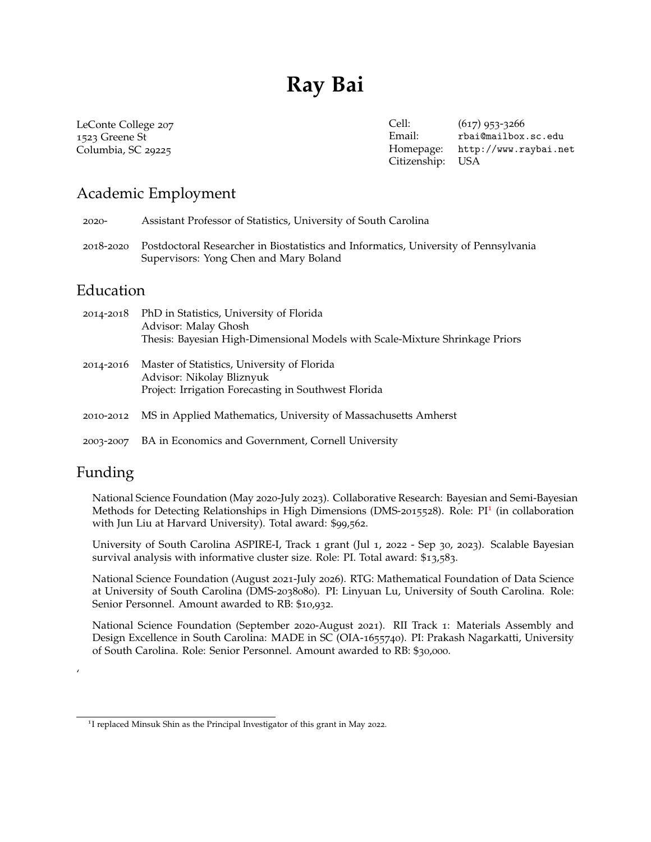# **Ray Bai**

LeConte College 207 1523 Greene St Columbia, SC 29225

Cell: (617) 953-3266 Email: [rbai@mailbox.sc.edu](mailto:rbai@mailbox.sc.edu) Homepage: <http://www.raybai.net> Citizenship: USA

# Academic Employment

2020- Assistant Professor of Statistics, University of South Carolina

2018-2020 Postdoctoral Researcher in Biostatistics and Informatics, University of Pennsylvania Supervisors: Yong Chen and Mary Boland

# Education

| 2014-2018 | PhD in Statistics, University of Florida<br>Advisor: Malay Ghosh<br>Thesis: Bayesian High-Dimensional Models with Scale-Mixture Shrinkage Priors |
|-----------|--------------------------------------------------------------------------------------------------------------------------------------------------|
| 2014-2016 | Master of Statistics, University of Florida<br>Advisor: Nikolay Bliznyuk<br>Project: Irrigation Forecasting in Southwest Florida                 |
| 2010-2012 | MS in Applied Mathematics, University of Massachusetts Amherst                                                                                   |
| 2003-2007 | BA in Economics and Government, Cornell University                                                                                               |

# Funding

'

National Science Foundation (May 2020-July 2023). Collaborative Research: Bayesian and Semi-Bayesian Methods for Detecting Relationships in High Dimensions (DMS-20[1](#page-0-0)5528). Role: PI<sup>1</sup> (in collaboration with Jun Liu at Harvard University). Total award: \$99,562.

University of South Carolina ASPIRE-I, Track 1 grant (Jul 1, 2022 - Sep 30, 2023). Scalable Bayesian survival analysis with informative cluster size. Role: PI. Total award: \$13,583.

National Science Foundation (August 2021-July 2026). RTG: Mathematical Foundation of Data Science at University of South Carolina (DMS-2038080). PI: Linyuan Lu, University of South Carolina. Role: Senior Personnel. Amount awarded to RB: \$10,932.

National Science Foundation (September 2020-August 2021). RII Track 1: Materials Assembly and Design Excellence in South Carolina: MADE in SC (OIA-1655740). PI: Prakash Nagarkatti, University of South Carolina. Role: Senior Personnel. Amount awarded to RB: \$30,000.

<span id="page-0-0"></span><sup>&</sup>lt;sup>1</sup>I replaced Minsuk Shin as the Principal Investigator of this grant in May 2022.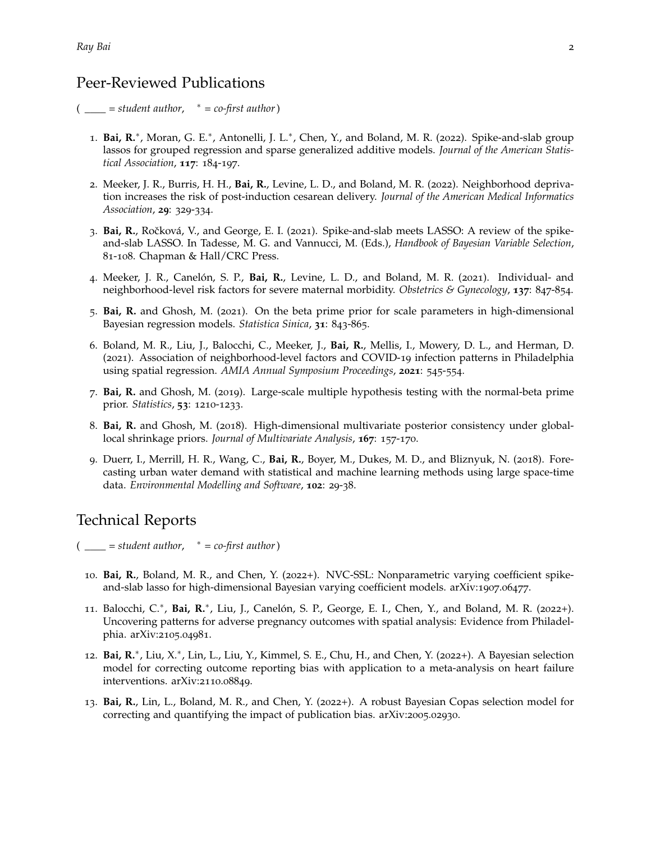## Peer-Reviewed Publications

 $($  \_\_\_ = student author,  $*$  = co-first author)

- 1. Bai, R.<sup>\*</sup>, Moran, G. E.<sup>\*</sup>, Antonelli, J. L.<sup>\*</sup>, Chen, Y., and Boland, M. R. (2022). Spike-and-slab group lassos for grouped regression and sparse generalized additive models. *Journal of the American Statistical Association*, **117**: 184-197.
- 2. Meeker, J. R., Burris, H. H., **Bai, R.**, Levine, L. D., and Boland, M. R. (2022). Neighborhood deprivation increases the risk of post-induction cesarean delivery. *Journal of the American Medical Informatics Association*, **29**: 329-334.
- 3. **Bai, R.**, Roˇcková, V., and George, E. I. (2021). Spike-and-slab meets LASSO: A review of the spikeand-slab LASSO. In Tadesse, M. G. and Vannucci, M. (Eds.), *Handbook of Bayesian Variable Selection*, 81-108. Chapman & Hall/CRC Press.
- 4. Meeker, J. R., Canelón, S. P., **Bai, R.**, Levine, L. D., and Boland, M. R. (2021). Individual- and neighborhood-level risk factors for severe maternal morbidity. *Obstetrics & Gynecology*, **137**: 847-854.
- 5. **Bai, R.** and Ghosh, M. (2021). On the beta prime prior for scale parameters in high-dimensional Bayesian regression models. *Statistica Sinica*, **31**: 843-865.
- 6. Boland, M. R., Liu, J., Balocchi, C., Meeker, J., **Bai, R.**, Mellis, I., Mowery, D. L., and Herman, D. (2021). Association of neighborhood-level factors and COVID-19 infection patterns in Philadelphia using spatial regression. *AMIA Annual Symposium Proceedings*, **2021**: 545-554.
- 7. **Bai, R.** and Ghosh, M. (2019). Large-scale multiple hypothesis testing with the normal-beta prime prior. *Statistics*, **53**: 1210-1233.
- 8. **Bai, R.** and Ghosh, M. (2018). High-dimensional multivariate posterior consistency under globallocal shrinkage priors. *Journal of Multivariate Analysis*, **167**: 157-170.
- 9. Duerr, I., Merrill, H. R., Wang, C., **Bai, R.**, Boyer, M., Dukes, M. D., and Bliznyuk, N. (2018). Forecasting urban water demand with statistical and machine learning methods using large space-time data. *Environmental Modelling and Software*, **102**: 29-38.

# Technical Reports

 $($  \_\_\_ = student author,  $*$  = co-first author)

- 10. **Bai, R.**, Boland, M. R., and Chen, Y. (2022+). NVC-SSL: Nonparametric varying coefficient spikeand-slab lasso for high-dimensional Bayesian varying coefficient models. arXiv:1907.06477.
- 11. Balocchi, C.<sup>\*</sup>, Bai, R.<sup>\*</sup>, Liu, J., Canelón, S. P., George, E. I., Chen, Y., and Boland, M. R. (2022+). Uncovering patterns for adverse pregnancy outcomes with spatial analysis: Evidence from Philadelphia. arXiv:2105.04981.
- 12. Bai, R.<sup>\*</sup>, Liu, X.<sup>\*</sup>, Lin, L., Liu, Y., Kimmel, S. E., Chu, H., and Chen, Y. (2022+). A Bayesian selection model for correcting outcome reporting bias with application to a meta-analysis on heart failure interventions. arXiv:2110.08849.
- 13. **Bai, R.**, Lin, L., Boland, M. R., and Chen, Y. (2022+). A robust Bayesian Copas selection model for correcting and quantifying the impact of publication bias. arXiv:2005.02930.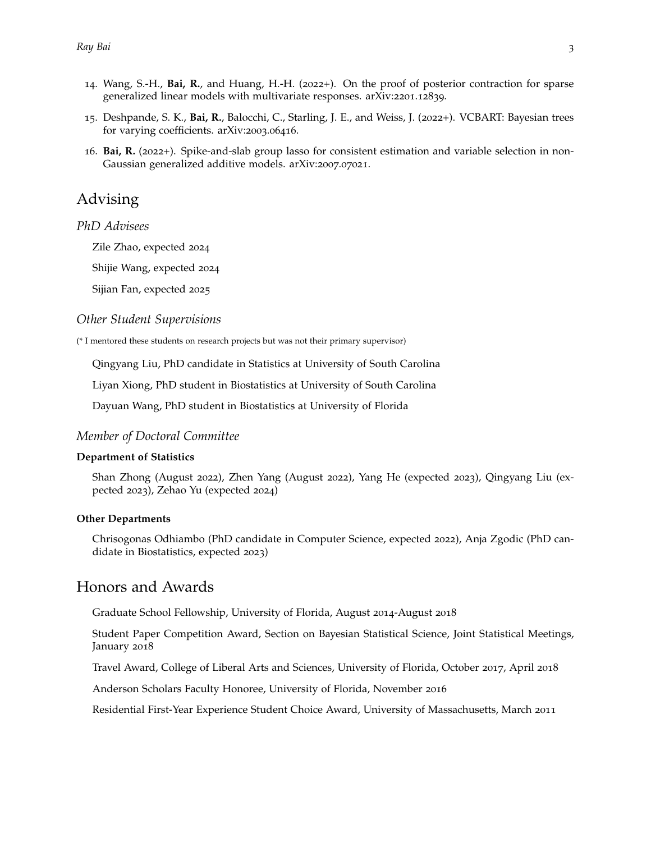- 14. Wang, S.-H., **Bai, R.**, and Huang, H.-H. (2022+). On the proof of posterior contraction for sparse generalized linear models with multivariate responses. arXiv:2201.12839.
- 15. Deshpande, S. K., **Bai, R.**, Balocchi, C., Starling, J. E., and Weiss, J. (2022+). VCBART: Bayesian trees for varying coefficients. arXiv:2003.06416.
- 16. **Bai, R.** (2022+). Spike-and-slab group lasso for consistent estimation and variable selection in non-Gaussian generalized additive models. arXiv:2007.07021.

## Advising

#### *PhD Advisees*

Zile Zhao, expected 2024

Shijie Wang, expected 2024

Sijian Fan, expected 2025

#### *Other Student Supervisions*

(\* I mentored these students on research projects but was not their primary supervisor)

Qingyang Liu, PhD candidate in Statistics at University of South Carolina

Liyan Xiong, PhD student in Biostatistics at University of South Carolina

Dayuan Wang, PhD student in Biostatistics at University of Florida

#### *Member of Doctoral Committee*

#### **Department of Statistics**

Shan Zhong (August 2022), Zhen Yang (August 2022), Yang He (expected 2023), Qingyang Liu (expected 2023), Zehao Yu (expected 2024)

#### **Other Departments**

Chrisogonas Odhiambo (PhD candidate in Computer Science, expected 2022), Anja Zgodic (PhD candidate in Biostatistics, expected 2023)

### Honors and Awards

Graduate School Fellowship, University of Florida, August 2014-August 2018

Student Paper Competition Award, Section on Bayesian Statistical Science, Joint Statistical Meetings, January 2018

Travel Award, College of Liberal Arts and Sciences, University of Florida, October 2017, April 2018

Anderson Scholars Faculty Honoree, University of Florida, November 2016

Residential First-Year Experience Student Choice Award, University of Massachusetts, March 2011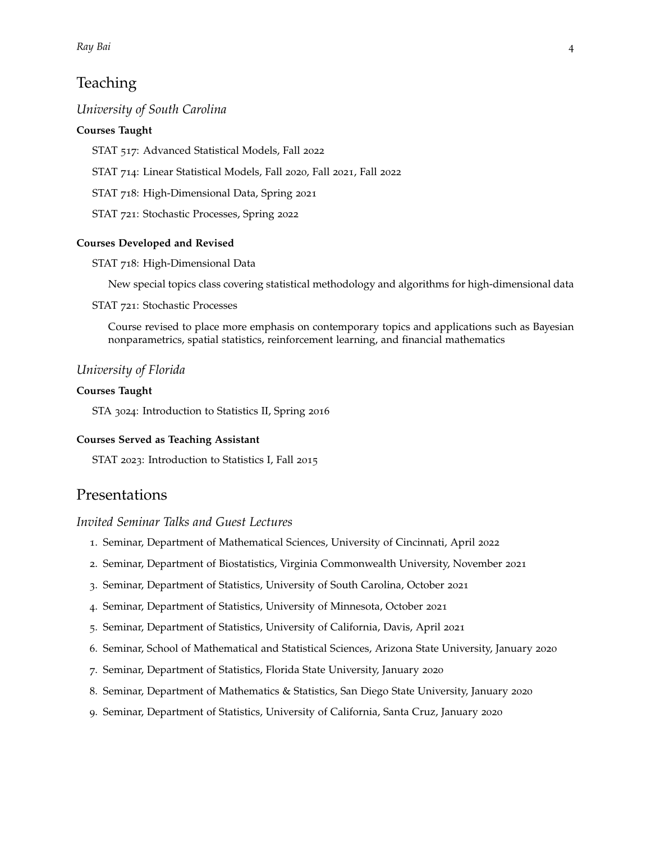# **Teaching**

#### *University of South Carolina*

#### **Courses Taught**

STAT 517: Advanced Statistical Models, Fall 2022

STAT 714: Linear Statistical Models, Fall 2020, Fall 2021, Fall 2022

STAT 718: High-Dimensional Data, Spring 2021

STAT 721: Stochastic Processes, Spring 2022

#### **Courses Developed and Revised**

#### STAT 718: High-Dimensional Data

New special topics class covering statistical methodology and algorithms for high-dimensional data

#### STAT 721: Stochastic Processes

Course revised to place more emphasis on contemporary topics and applications such as Bayesian nonparametrics, spatial statistics, reinforcement learning, and financial mathematics

#### *University of Florida*

#### **Courses Taught**

STA 3024: Introduction to Statistics II, Spring 2016

#### **Courses Served as Teaching Assistant**

STAT 2023: Introduction to Statistics I, Fall 2015

### Presentations

#### *Invited Seminar Talks and Guest Lectures*

- 1. Seminar, Department of Mathematical Sciences, University of Cincinnati, April 2022
- 2. Seminar, Department of Biostatistics, Virginia Commonwealth University, November 2021
- 3. Seminar, Department of Statistics, University of South Carolina, October 2021
- 4. Seminar, Department of Statistics, University of Minnesota, October 2021
- 5. Seminar, Department of Statistics, University of California, Davis, April 2021
- 6. Seminar, School of Mathematical and Statistical Sciences, Arizona State University, January 2020
- 7. Seminar, Department of Statistics, Florida State University, January 2020
- 8. Seminar, Department of Mathematics & Statistics, San Diego State University, January 2020
- 9. Seminar, Department of Statistics, University of California, Santa Cruz, January 2020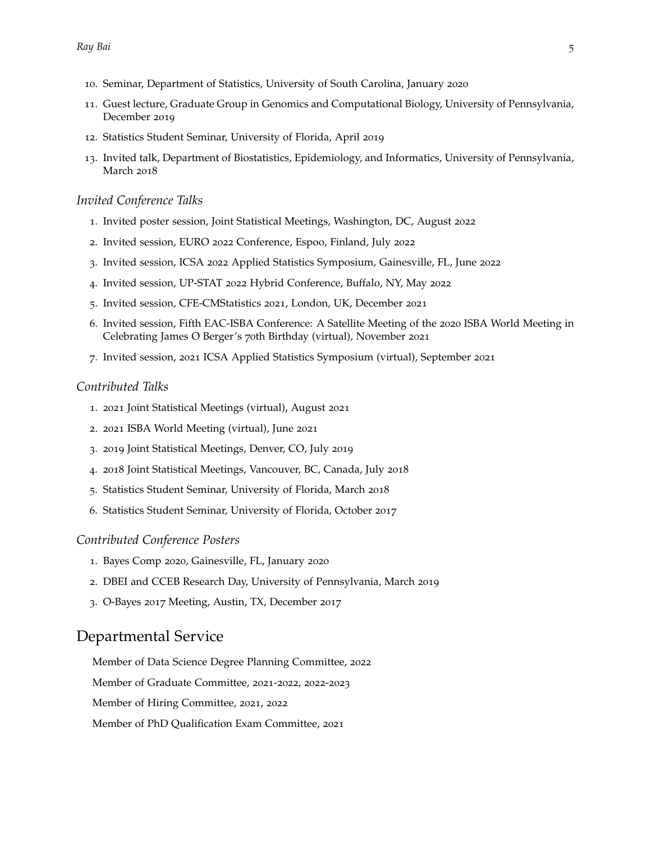- . Seminar, Department of Statistics, University of South Carolina, January 2020
- . Guest lecture, Graduate Group in Genomics and Computational Biology, University of Pennsylvania, December 2019
- . Statistics Student Seminar, University of Florida, April 2019
- . Invited talk, Department of Biostatistics, Epidemiology, and Informatics, University of Pennsylvania, March 2018

#### *Invited Conference Talks*

- . Invited poster session, Joint Statistical Meetings, Washington, DC, August 2022
- . Invited session, EURO 2022 Conference, Espoo, Finland, July 2022
- . Invited session, ICSA 2022 Applied Statistics Symposium, Gainesville, FL, June 2022
- . Invited session, UP-STAT 2022 Hybrid Conference, Buffalo, NY, May 2022
- . Invited session, CFE-CMStatistics 2021, London, UK, December 2021
- . Invited session, Fifth EAC-ISBA Conference: A Satellite Meeting of the 2020 ISBA World Meeting in Celebrating James O Berger's 70th Birthday (virtual), November 2021
- . Invited session, 2021 ICSA Applied Statistics Symposium (virtual), September 2021

#### *Contributed Talks*

- . 2021 Joint Statistical Meetings (virtual), August 2021
- . 2021 ISBA World Meeting (virtual), June 2021
- . 2019 Joint Statistical Meetings, Denver, CO, July 2019
- . 2018 Joint Statistical Meetings, Vancouver, BC, Canada, July 2018
- . Statistics Student Seminar, University of Florida, March 2018
- . Statistics Student Seminar, University of Florida, October 2017

#### *Contributed Conference Posters*

- . Bayes Comp 2020, Gainesville, FL, January 2020
- . DBEI and CCEB Research Day, University of Pennsylvania, March 2019
- . O-Bayes 2017 Meeting, Austin, TX, December 2017

### Departmental Service

Member of Data Science Degree Planning Committee, 2022

Member of Graduate Committee, 2021-2022, 2022-2023

Member of Hiring Committee, 2021, 2022

Member of PhD Qualification Exam Committee, 2021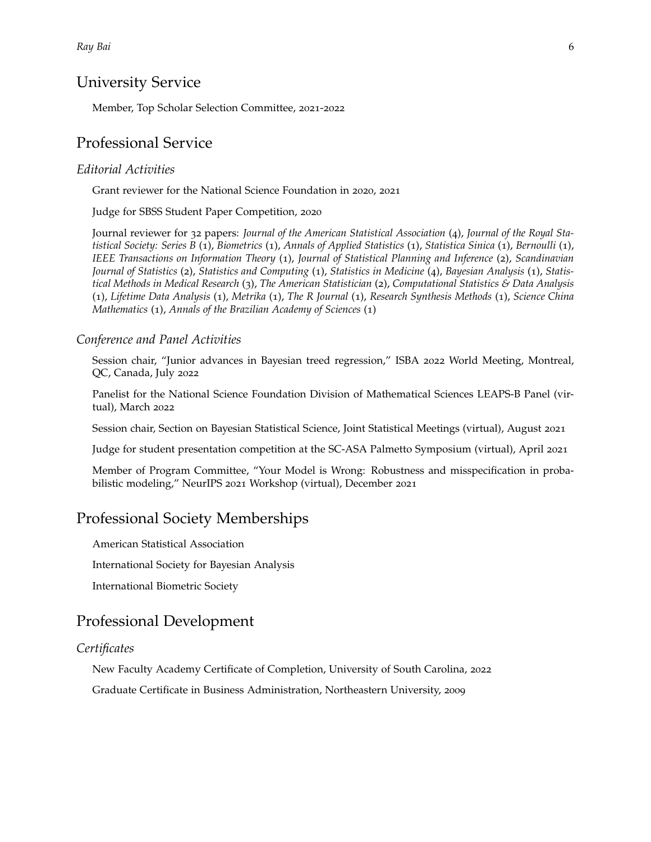### University Service

Member, Top Scholar Selection Committee, 2021-2022

### Professional Service

#### *Editorial Activities*

Grant reviewer for the National Science Foundation in 2020, 2021

Judge for SBSS Student Paper Competition, 2020

Journal reviewer for 32 papers: *Journal of the American Statistical Association* (4), *Journal of the Royal Statistical Society: Series B* (1), *Biometrics* (1), *Annals of Applied Statistics* (1), *Statistica Sinica* (1), *Bernoulli* (1), *IEEE Transactions on Information Theory* (1), *Journal of Statistical Planning and Inference* (2), *Scandinavian Journal of Statistics* (2), *Statistics and Computing* (1), *Statistics in Medicine* (4), *Bayesian Analysis* (1), *Statistical Methods in Medical Research* (3), *The American Statistician* (2), *Computational Statistics & Data Analysis* (1), *Lifetime Data Analysis* (1), *Metrika* (1), *The R Journal* (1), *Research Synthesis Methods* (1), *Science China Mathematics* (1), *Annals of the Brazilian Academy of Sciences* (1)

#### *Conference and Panel Activities*

Session chair, "Junior advances in Bayesian treed regression," ISBA 2022 World Meeting, Montreal, QC, Canada, July 2022

Panelist for the National Science Foundation Division of Mathematical Sciences LEAPS-B Panel (virtual), March 2022

Session chair, Section on Bayesian Statistical Science, Joint Statistical Meetings (virtual), August 2021

Judge for student presentation competition at the SC-ASA Palmetto Symposium (virtual), April 2021

Member of Program Committee, "Your Model is Wrong: Robustness and misspecification in probabilistic modeling," NeurIPS 2021 Workshop (virtual), December 2021

### Professional Society Memberships

American Statistical Association

International Society for Bayesian Analysis

International Biometric Society

# Professional Development

#### *Certificates*

New Faculty Academy Certificate of Completion, University of South Carolina, 2022

Graduate Certificate in Business Administration, Northeastern University, 2009